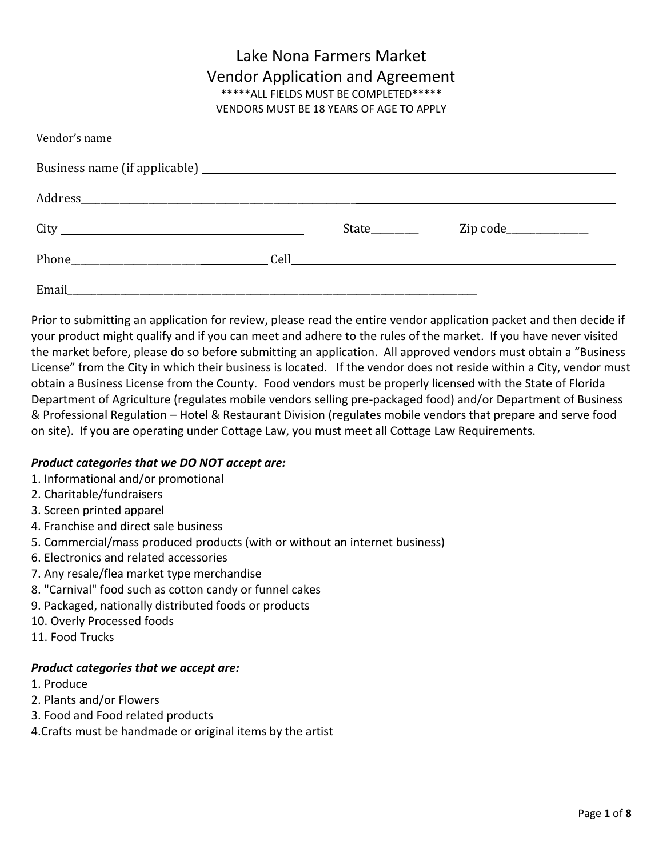# Lake Nona Farmers Market Vendor Application and Agreement \*\*\*\*\*ALL FIELDS MUST BE COMPLETED\*\*\*\*\*

VENDORS MUST BE 18 YEARS OF AGE TO APPLY

|  | State | Zip code______________ |
|--|-------|------------------------|
|  |       |                        |
|  |       |                        |

Prior to submitting an application for review, please read the entire vendor application packet and then decide if your product might qualify and if you can meet and adhere to the rules of the market. If you have never visited the market before, please do so before submitting an application. All approved vendors must obtain a "Business License" from the City in which their business is located. If the vendor does not reside within a City, vendor must obtain a Business License from the County. Food vendors must be properly licensed with the State of Florida Department of Agriculture (regulates mobile vendors selling pre-packaged food) and/or Department of Business & Professional Regulation – Hotel & Restaurant Division (regulates mobile vendors that prepare and serve food on site). If you are operating under Cottage Law, you must meet all Cottage Law Requirements.

#### *Product categories that we DO NOT accept are:*

- 1. Informational and/or promotional
- 2. Charitable/fundraisers
- 3. Screen printed apparel
- 4. Franchise and direct sale business
- 5. Commercial/mass produced products (with or without an internet business)
- 6. Electronics and related accessories
- 7. Any resale/flea market type merchandise
- 8. "Carnival" food such as cotton candy or funnel cakes
- 9. Packaged, nationally distributed foods or products
- 10. Overly Processed foods
- 11. Food Trucks

### *Product categories that we accept are:*

- 1. Produce
- 2. Plants and/or Flowers
- 3. Food and Food related products
- 4.Crafts must be handmade or original items by the artist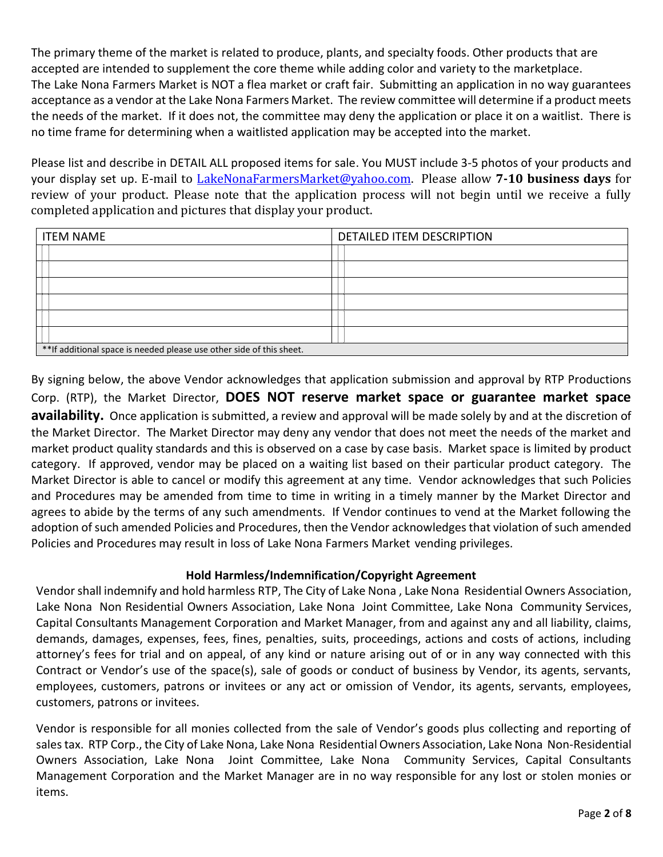The primary theme of the market is related to produce, plants, and specialty foods. Other products that are accepted are intended to supplement the core theme while adding color and variety to the marketplace. The Lake Nona Farmers Market is NOT a flea market or craft fair. Submitting an application in no way guarantees acceptance as a vendor at the Lake Nona Farmers Market. The review committee will determine if a product meets the needs of the market. If it does not, the committee may deny the application or place it on a waitlist. There is no time frame for determining when a waitlisted application may be accepted into the market.

Please list and describe in DETAIL ALL proposed items for sale. You MUST include 3-5 photos of your products and your display set up. E-mail to [LakeNonaFarmersMarket@yahoo.com.](mailto:LakeNonaFarmersMarket@yahoo.com) Please allow **7-10 business days** for review of your product. Please note that the application process will not begin until we receive a fully completed application and pictures that display your product.

| <b>ITEM NAME</b>                                                      | DETAILED ITEM DESCRIPTION |  |  |
|-----------------------------------------------------------------------|---------------------------|--|--|
|                                                                       |                           |  |  |
|                                                                       |                           |  |  |
|                                                                       |                           |  |  |
|                                                                       |                           |  |  |
|                                                                       |                           |  |  |
|                                                                       |                           |  |  |
| ** If additional space is needed please use other side of this sheet. |                           |  |  |

By signing below, the above Vendor acknowledges that application submission and approval by RTP Productions Corp. (RTP), the Market Director, **DOES NOT reserve market space or guarantee market space availability.** Once application is submitted, a review and approval will be made solely by and at the discretion of the Market Director. The Market Director may deny any vendor that does not meet the needs of the market and market product quality standards and this is observed on a case by case basis. Market space is limited by product category. If approved, vendor may be placed on a waiting list based on their particular product category. The Market Director is able to cancel or modify this agreement at any time. Vendor acknowledges that such Policies and Procedures may be amended from time to time in writing in a timely manner by the Market Director and agrees to abide by the terms of any such amendments. If Vendor continues to vend at the Market following the adoption of such amended Policies and Procedures, then the Vendor acknowledges that violation of such amended Policies and Procedures may result in loss of Lake Nona Farmers Market vending privileges.

#### **Hold Harmless/Indemnification/Copyright Agreement**

Vendor shall indemnify and hold harmless RTP, The City of Lake Nona , Lake Nona Residential Owners Association, Lake Nona Non Residential Owners Association, Lake Nona Joint Committee, Lake Nona Community Services, Capital Consultants Management Corporation and Market Manager, from and against any and all liability, claims, demands, damages, expenses, fees, fines, penalties, suits, proceedings, actions and costs of actions, including attorney's fees for trial and on appeal, of any kind or nature arising out of or in any way connected with this Contract or Vendor's use of the space(s), sale of goods or conduct of business by Vendor, its agents, servants, employees, customers, patrons or invitees or any act or omission of Vendor, its agents, servants, employees, customers, patrons or invitees.

Vendor is responsible for all monies collected from the sale of Vendor's goods plus collecting and reporting of sales tax. RTP Corp., the City of Lake Nona, Lake Nona Residential Owners Association, Lake Nona Non-Residential Owners Association, Lake Nona Joint Committee, Lake Nona Community Services, Capital Consultants Management Corporation and the Market Manager are in no way responsible for any lost or stolen monies or items.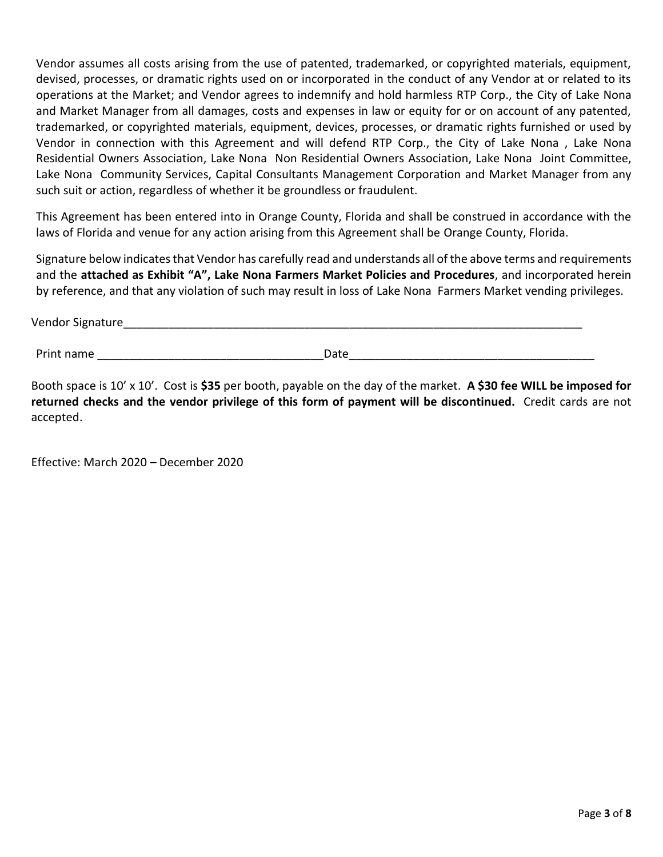Vendor assumes all costs arising from the use of patented, trademarked, or copyrighted materials, equipment, devised, processes, or dramatic rights used on or incorporated in the conduct of any Vendor at or related to its operations at the Market; and Vendor agrees to indemnify and hold harmless RTP Corp., the City of Lake Nona and Market Manager from all damages, costs and expenses in law or equity for or on account of any patented, trademarked, or copyrighted materials, equipment, devices, processes, or dramatic rights furnished or used by Vendor in connection with this Agreement and will defend RTP Corp., the City of Lake Nona , Lake Nona Residential Owners Association, Lake Nona Non Residential Owners Association, Lake Nona Joint Committee, Lake Nona Community Services, Capital Consultants Management Corporation and Market Manager from any such suit or action, regardless of whether it be groundless or fraudulent.

This Agreement has been entered into in Orange County, Florida and shall be construed in accordance with the laws of Florida and venue for any action arising from this Agreement shall be Orange County, Florida.

Signature below indicates that Vendor has carefully read and understands all of the above terms and requirements and the **attached as Exhibit "A", Lake Nona Farmers Market Policies and Procedures**, and incorporated herein by reference, and that any violation of such may result in loss of Lake Nona Farmers Market vending privileges.

Vendor Signature

Print name and the set of the set of the set of the set of the set of the set of the set of the set of the set of the set of the set of the set of the set of the set of the set of the set of the set of the set of the set o

Booth space is 10' x 10'. Cost is **\$35** per booth, payable on the day of the market. **A \$30 fee WILL be imposed for returned checks and the vendor privilege of this form of payment will be discontinued.** Credit cards are not accepted.

Effective: March 2020 – December 2020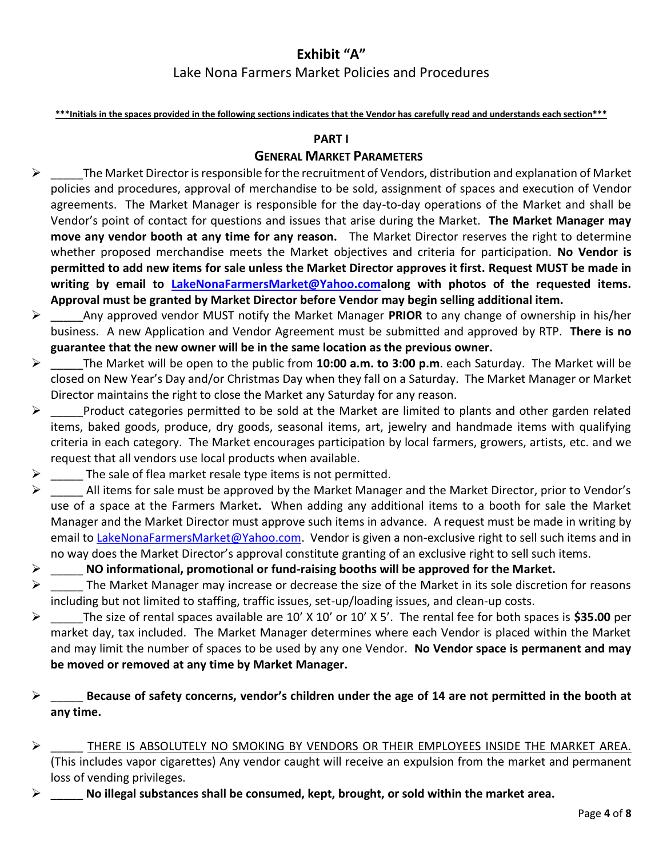# **Exhibit "A"**

# Lake Nona Farmers Market Policies and Procedures

**\*\*\*Initials in the spaces provided in the following sections indicates that the Vendor has carefully read and understands each section\*\*\***

#### **PART I**

#### **GENERAL MARKET PARAMETERS**

- $\triangleright$  The Market Director is responsible for the recruitment of Vendors, distribution and explanation of Market policies and procedures, approval of merchandise to be sold, assignment of spaces and execution of Vendor agreements. The Market Manager is responsible for the day-to-day operations of the Market and shall be Vendor's point of contact for questions and issues that arise during the Market. **The Market Manager may move any vendor booth at any time for any reason.** The Market Director reserves the right to determine whether proposed merchandise meets the Market objectives and criteria for participation. **No Vendor is permitted to add new items for sale unless the Market Director approves it first. Request MUST be made in writing by email to [LakeNonaFarmersMarket@Yahoo.coma](mailto:LakeNonaFarmersMarket@Yahoo.com)long with photos of the requested items. Approval must be granted by Market Director before Vendor may begin selling additional item.**
- ➢ \_\_\_\_\_Any approved vendor MUST notify the Market Manager **PRIOR** to any change of ownership in his/her business. A new Application and Vendor Agreement must be submitted and approved by RTP. **There is no guarantee that the new owner will be in the same location as the previous owner.**
- ➢ \_\_\_\_\_The Market will be open to the public from **10:00 a.m. to 3:00 p.m**. each Saturday. The Market will be closed on New Year's Day and/or Christmas Day when they fall on a Saturday. The Market Manager or Market Director maintains the right to close the Market any Saturday for any reason.
- $\triangleright$  Product categories permitted to be sold at the Market are limited to plants and other garden related items, baked goods, produce, dry goods, seasonal items, art, jewelry and handmade items with qualifying criteria in each category. The Market encourages participation by local farmers, growers, artists, etc. and we request that all vendors use local products when available.
- $\triangleright$  The sale of flea market resale type items is not permitted.
- $\triangleright$  All items for sale must be approved by the Market Manager and the Market Director, prior to Vendor's use of a space at the Farmers Market**.** When adding any additional items to a booth for sale the Market Manager and the Market Director must approve such items in advance. A request must be made in writing by email to [LakeNonaFarmersMarket@Yahoo.com.](mailto:LakeNonaFarmersMarket@Yahoo.com) Vendor is given a non-exclusive right to sell such items and in no way does the Market Director's approval constitute granting of an exclusive right to sell such items.
- ➢ \_\_\_\_\_ **NO informational, promotional or fund-raising booths will be approved for the Market.**
- $\triangleright$  The Market Manager may increase or decrease the size of the Market in its sole discretion for reasons including but not limited to staffing, traffic issues, set-up/loading issues, and clean-up costs.
- ➢ \_\_\_\_\_The size of rental spaces available are 10' X 10' or 10' X 5'. The rental fee for both spaces is **\$35.00** per market day, tax included. The Market Manager determines where each Vendor is placed within the Market and may limit the number of spaces to be used by any one Vendor. **No Vendor space is permanent and may be moved or removed at any time by Market Manager.**
- ➢ \_\_\_\_\_ **Because of safety concerns, vendor's children under the age of 14 are not permitted in the booth at any time.**
- $\triangleright$  THERE IS ABSOLUTELY NO SMOKING BY VENDORS OR THEIR EMPLOYEES INSIDE THE MARKET AREA. (This includes vapor cigarettes) Any vendor caught will receive an expulsion from the market and permanent loss of vending privileges.
- ➢ \_\_\_\_\_ **No illegal substances shall be consumed, kept, brought, or sold within the market area.**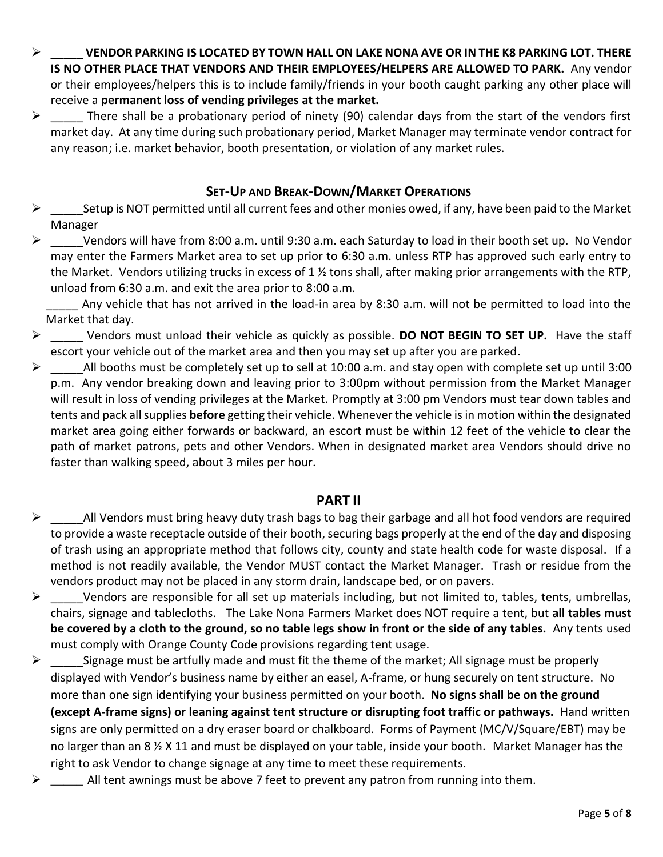- ➢ \_\_\_\_\_ **VENDOR PARKING IS LOCATED BY TOWN HALL ON LAKE NONA AVE OR IN THE K8 PARKING LOT. THERE IS NO OTHER PLACE THAT VENDORS AND THEIR EMPLOYEES/HELPERS ARE ALLOWED TO PARK.** Any vendor or their employees/helpers this is to include family/friends in your booth caught parking any other place will receive a **permanent loss of vending privileges at the market.**
- $\triangleright$  There shall be a probationary period of ninety (90) calendar days from the start of the vendors first market day. At any time during such probationary period, Market Manager may terminate vendor contract for any reason; i.e. market behavior, booth presentation, or violation of any market rules.

# **SET-UP AND BREAK-DOWN/MARKET OPERATIONS**

- $\triangleright$  Setup is NOT permitted until all current fees and other monies owed, if any, have been paid to the Market Manager
- ➢ \_\_\_\_\_Vendors will have from 8:00 a.m. until 9:30 a.m. each Saturday to load in their booth set up. No Vendor may enter the Farmers Market area to set up prior to 6:30 a.m. unless RTP has approved such early entry to the Market. Vendors utilizing trucks in excess of 1  $\frac{1}{2}$  tons shall, after making prior arrangements with the RTP, unload from 6:30 a.m. and exit the area prior to 8:00 a.m.

Any vehicle that has not arrived in the load-in area by 8:30 a.m. will not be permitted to load into the Market that day.

- ➢ \_\_\_\_\_ Vendors must unload their vehicle as quickly as possible. **DO NOT BEGIN TO SET UP.** Have the staff escort your vehicle out of the market area and then you may set up after you are parked.
- $\triangleright$  All booths must be completely set up to sell at 10:00 a.m. and stay open with complete set up until 3:00 p.m. Any vendor breaking down and leaving prior to 3:00pm without permission from the Market Manager will result in loss of vending privileges at the Market. Promptly at 3:00 pm Vendors must tear down tables and tents and pack all supplies **before** getting their vehicle. Whenever the vehicle is in motion within the designated market area going either forwards or backward, an escort must be within 12 feet of the vehicle to clear the path of market patrons, pets and other Vendors. When in designated market area Vendors should drive no faster than walking speed, about 3 miles per hour.

# **PART II**

- $\triangleright$  All Vendors must bring heavy duty trash bags to bag their garbage and all hot food vendors are required to provide a waste receptacle outside of their booth, securing bags properly at the end of the day and disposing of trash using an appropriate method that follows city, county and state health code for waste disposal. If a method is not readily available, the Vendor MUST contact the Market Manager. Trash or residue from the vendors product may not be placed in any storm drain, landscape bed, or on pavers.
- $\triangleright$  Vendors are responsible for all set up materials including, but not limited to, tables, tents, umbrellas, chairs, signage and tablecloths. The Lake Nona Farmers Market does NOT require a tent, but **all tables must be covered by a cloth to the ground, so no table legs show in front or the side of any tables.** Any tents used must comply with Orange County Code provisions regarding tent usage.
- $\triangleright$  Signage must be artfully made and must fit the theme of the market; All signage must be properly displayed with Vendor's business name by either an easel, A-frame, or hung securely on tent structure. No more than one sign identifying your business permitted on your booth. **No signs shall be on the ground (except A-frame signs) or leaning against tent structure or disrupting foot traffic or pathways.** Hand written signs are only permitted on a dry eraser board or chalkboard. Forms of Payment (MC/V/Square/EBT) may be no larger than an 8 ½ X 11 and must be displayed on your table, inside your booth. Market Manager has the right to ask Vendor to change signage at any time to meet these requirements.
- ➢ \_\_\_\_\_ All tent awnings must be above 7 feet to prevent any patron from running into them.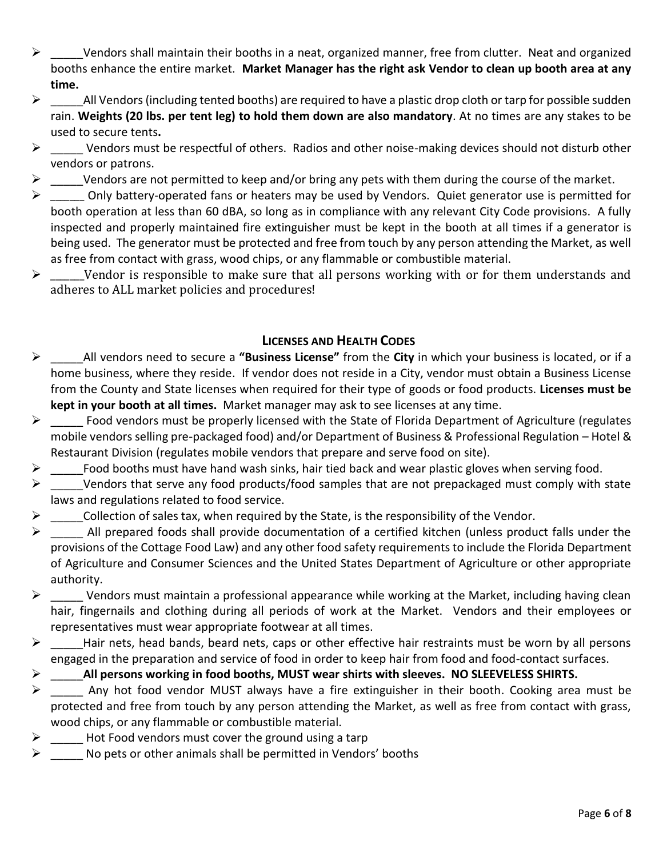- ➢ \_\_\_\_\_Vendors shall maintain their booths in a neat, organized manner, free from clutter. Neat and organized booths enhance the entire market. **Market Manager has the right ask Vendor to clean up booth area at any time.**
- $\triangleright$  All Vendors (including tented booths) are required to have a plastic drop cloth or tarp for possible sudden rain. **Weights (20 lbs. per tent leg) to hold them down are also mandatory**. At no times are any stakes to be used to secure tents**.**
- $\triangleright$  Vendors must be respectful of others. Radios and other noise-making devices should not disturb other vendors or patrons.
- $\triangleright$  Vendors are not permitted to keep and/or bring any pets with them during the course of the market.
- $\triangleright$  \_\_\_\_\_\_ Only battery-operated fans or heaters may be used by Vendors. Quiet generator use is permitted for booth operation at less than 60 dBA, so long as in compliance with any relevant City Code provisions. A fully inspected and properly maintained fire extinguisher must be kept in the booth at all times if a generator is being used. The generator must be protected and free from touch by any person attending the Market, as well as free from contact with grass, wood chips, or any flammable or combustible material.
- $\triangleright$  \_\_\_\_\_\_Vendor is responsible to make sure that all persons working with or for them understands and adheres to ALL market policies and procedures!

# **LICENSES AND HEALTH CODES**

- ➢ \_\_\_\_\_All vendors need to secure a **"Business License"** from the **City** in which your business is located, or if a home business, where they reside. If vendor does not reside in a City, vendor must obtain a Business License from the County and State licenses when required for their type of goods or food products. **Licenses must be kept in your booth at all times.** Market manager may ask to see licenses at any time.
- $\triangleright$  Food vendors must be properly licensed with the State of Florida Department of Agriculture (regulates mobile vendors selling pre-packaged food) and/or Department of Business & Professional Regulation – Hotel & Restaurant Division (regulates mobile vendors that prepare and serve food on site).
- $\triangleright$  Food booths must have hand wash sinks, hair tied back and wear plastic gloves when serving food.
- $\triangleright$  Vendors that serve any food products/food samples that are not prepackaged must comply with state laws and regulations related to food service.
- $\triangleright$  Collection of sales tax, when required by the State, is the responsibility of the Vendor.
- $\triangleright$  All prepared foods shall provide documentation of a certified kitchen (unless product falls under the provisions of the Cottage Food Law) and any other food safety requirements to include the Florida Department of Agriculture and Consumer Sciences and the United States Department of Agriculture or other appropriate authority.
- $\triangleright$  Vendors must maintain a professional appearance while working at the Market, including having clean hair, fingernails and clothing during all periods of work at the Market. Vendors and their employees or representatives must wear appropriate footwear at all times.
- ➢ \_\_\_\_\_Hair nets, head bands, beard nets, caps or other effective hair restraints must be worn by all persons engaged in the preparation and service of food in order to keep hair from food and food-contact surfaces.
- ➢ \_\_\_\_\_**All persons working in food booths, MUST wear shirts with sleeves. NO SLEEVELESS SHIRTS.**
- ➢ \_\_\_\_\_ Any hot food vendor MUST always have a fire extinguisher in their booth. Cooking area must be protected and free from touch by any person attending the Market, as well as free from contact with grass, wood chips, or any flammable or combustible material.
- $\triangleright$  Hot Food vendors must cover the ground using a tarp
- $\triangleright$  No pets or other animals shall be permitted in Vendors' booths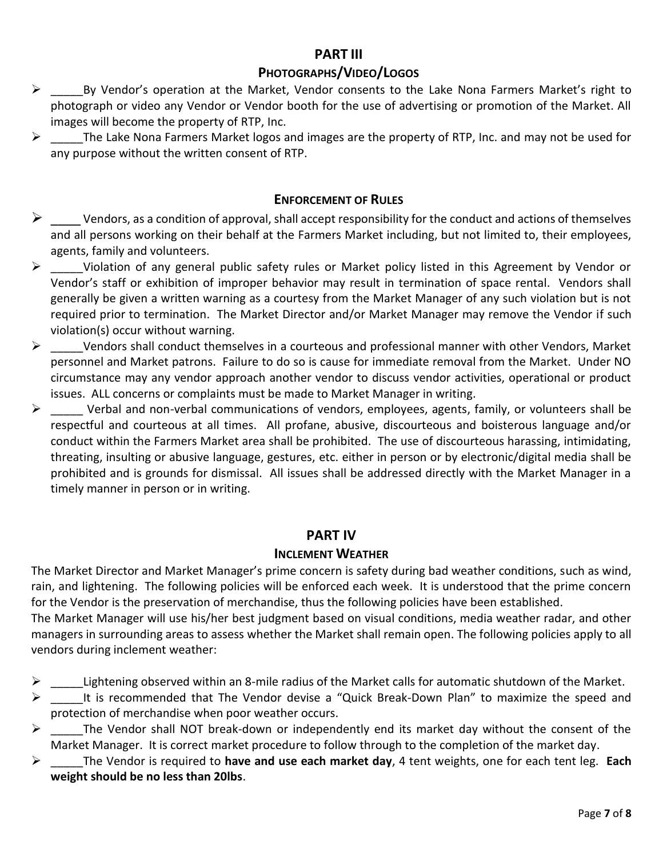## **PART III**

### **PHOTOGRAPHS/VIDEO/LOGOS**

- ➢ \_\_\_\_\_By Vendor's operation at the Market, Vendor consents to the Lake Nona Farmers Market's right to photograph or video any Vendor or Vendor booth for the use of advertising or promotion of the Market. All images will become the property of RTP, Inc.
- $\triangleright$  The Lake Nona Farmers Market logos and images are the property of RTP, Inc. and may not be used for any purpose without the written consent of RTP.

### **ENFORCEMENT OF RULES**

- $\triangleright$  \_\_\_\_\_ Vendors, as a condition of approval, shall accept responsibility for the conduct and actions of themselves and all persons working on their behalf at the Farmers Market including, but not limited to, their employees, agents, family and volunteers.
- ➢ \_\_\_\_\_Violation of any general public safety rules or Market policy listed in this Agreement by Vendor or Vendor's staff or exhibition of improper behavior may result in termination of space rental. Vendors shall generally be given a written warning as a courtesy from the Market Manager of any such violation but is not required prior to termination. The Market Director and/or Market Manager may remove the Vendor if such violation(s) occur without warning.
- $\triangleright$  Vendors shall conduct themselves in a courteous and professional manner with other Vendors, Market personnel and Market patrons. Failure to do so is cause for immediate removal from the Market. Under NO circumstance may any vendor approach another vendor to discuss vendor activities, operational or product issues. ALL concerns or complaints must be made to Market Manager in writing.
- ➢ \_\_\_\_\_ Verbal and non-verbal communications of vendors, employees, agents, family, or volunteers shall be respectful and courteous at all times. All profane, abusive, discourteous and boisterous language and/or conduct within the Farmers Market area shall be prohibited. The use of discourteous harassing, intimidating, threating, insulting or abusive language, gestures, etc. either in person or by electronic/digital media shall be prohibited and is grounds for dismissal. All issues shall be addressed directly with the Market Manager in a timely manner in person or in writing.

### **PART IV**

### **INCLEMENT WEATHER**

The Market Director and Market Manager's prime concern is safety during bad weather conditions, such as wind, rain, and lightening. The following policies will be enforced each week. It is understood that the prime concern for the Vendor is the preservation of merchandise, thus the following policies have been established.

The Market Manager will use his/her best judgment based on visual conditions, media weather radar, and other managers in surrounding areas to assess whether the Market shall remain open. The following policies apply to all vendors during inclement weather:

- Lightening observed within an 8-mile radius of the Market calls for automatic shutdown of the Market.
- $\triangleright$  It is recommended that The Vendor devise a "Quick Break-Down Plan" to maximize the speed and protection of merchandise when poor weather occurs.
- $\triangleright$  \_\_\_\_\_\_The Vendor shall NOT break-down or independently end its market day without the consent of the Market Manager. It is correct market procedure to follow through to the completion of the market day.
- ➢ \_\_\_\_\_The Vendor is required to **have and use each market day**, 4 tent weights, one for each tent leg. **Each weight should be no less than 20lbs**.